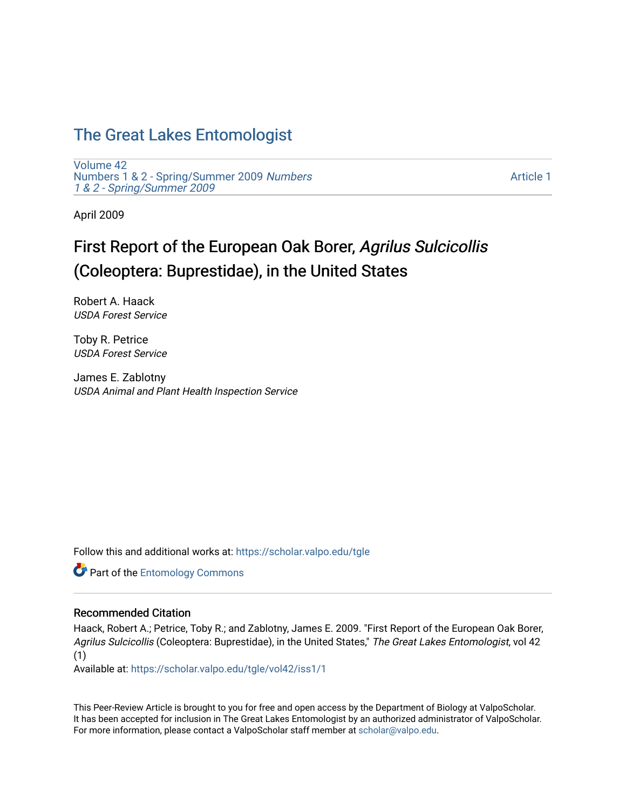## [The Great Lakes Entomologist](https://scholar.valpo.edu/tgle)

[Volume 42](https://scholar.valpo.edu/tgle/vol42) [Numbers 1 & 2 - Spring/Summer 2009](https://scholar.valpo.edu/tgle/vol42/iss1) Numbers [1 & 2 - Spring/Summer 2009](https://scholar.valpo.edu/tgle/vol42/iss1) 

[Article 1](https://scholar.valpo.edu/tgle/vol42/iss1/1) 

April 2009

# First Report of the European Oak Borer, Agrilus Sulcicollis (Coleoptera: Buprestidae), in the United States

Robert A. Haack USDA Forest Service

Toby R. Petrice USDA Forest Service

James E. Zablotny USDA Animal and Plant Health Inspection Service

Follow this and additional works at: [https://scholar.valpo.edu/tgle](https://scholar.valpo.edu/tgle?utm_source=scholar.valpo.edu%2Ftgle%2Fvol42%2Fiss1%2F1&utm_medium=PDF&utm_campaign=PDFCoverPages) 

**Part of the Entomology Commons** 

## Recommended Citation

Haack, Robert A.; Petrice, Toby R.; and Zablotny, James E. 2009. "First Report of the European Oak Borer, Agrilus Sulcicollis (Coleoptera: Buprestidae), in the United States," The Great Lakes Entomologist, vol 42 (1)

Available at: [https://scholar.valpo.edu/tgle/vol42/iss1/1](https://scholar.valpo.edu/tgle/vol42/iss1/1?utm_source=scholar.valpo.edu%2Ftgle%2Fvol42%2Fiss1%2F1&utm_medium=PDF&utm_campaign=PDFCoverPages) 

This Peer-Review Article is brought to you for free and open access by the Department of Biology at ValpoScholar. It has been accepted for inclusion in The Great Lakes Entomologist by an authorized administrator of ValpoScholar. For more information, please contact a ValpoScholar staff member at [scholar@valpo.edu](mailto:scholar@valpo.edu).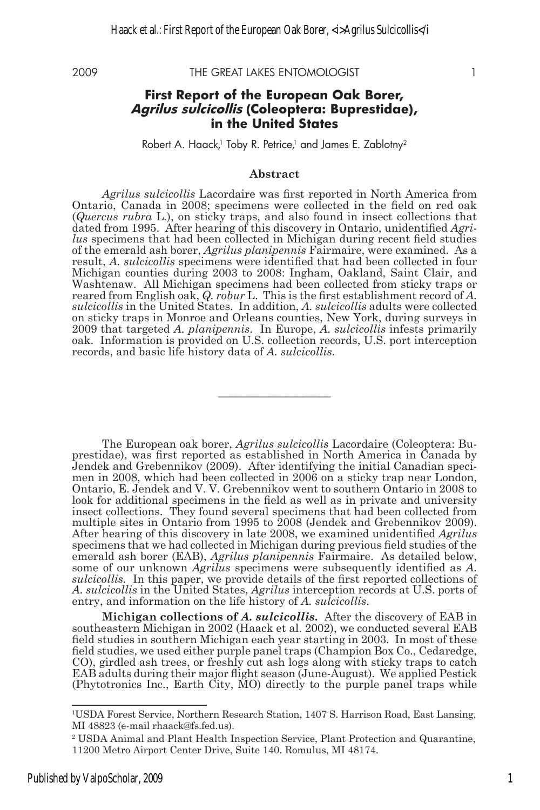2009 THE GREAT LAKES ENTOMOLOGIST 1

### **First Report of the European Oak Borer, Agrilus sulcicollis (Coleoptera: Buprestidae), in the United States**

Robert A. Haack,<sup>1</sup> Toby R. Petrice,<sup>1</sup> and James E. Zablotny<sup>2</sup>

#### **Abstract**

*Agrilus sulcicollis* Lacordaire was first reported in North America from Ontario, Canada in 2008; specimens were collected in the field on red oak (*Quercus rubra* L.), on sticky traps, and also found in insect collections that dated from 1995. After hearing of this discovery in Ontario, unidentified *Agrilus* specimens that had been collected in Michigan during recent field studies of the emerald ash borer, *Agrilus planipennis* Fairmaire, were examined. As a result, *A. sulcicollis* specimens were identified that had been collected in four Michigan counties during 2003 to 2008: Ingham, Oakland, Saint Clair, and Washtenaw. All Michigan specimens had been collected from sticky traps or reared from English oak, *Q. robur* L. This is the first establishment record of *A. sulcicollis* in the United States. In addition, *A. sulcicollis* adults were collected on sticky traps in Monroe and Orleans counties, New York, during surveys in 2009 that targeted *A. planipennis*. In Europe, *A. sulcicollis* infests primarily oak. Information is provided on U.S. collection records, U.S. port interception records, and basic life history data of *A. sulcicollis*.

**\_\_\_\_\_\_\_\_\_\_\_\_\_\_\_\_\_\_\_\_**

The European oak borer, *Agrilus sulcicollis* Lacordaire (Coleoptera: Buprestidae), was first reported as established in North America in Canada by Jendek and Grebennikov (2009). After identifying the initial Canadian specimen in 2008, which had been collected in 2006 on a sticky trap near London, Ontario, E. Jendek and V. V. Grebennikov went to southern Ontario in 2008 to look for additional specimens in the field as well as in private and university insect collections. They found several specimens that had been collected from multiple sites in Ontario from 1995 to 2008 (Jendek and Grebennikov 2009). After hearing of this discovery in late 2008, we examined unidentified *Agrilus* specimens that we had collected in Michigan during previous field studies of the emerald ash borer (EAB), *Agrilus planipennis* Fairmaire. As detailed below, some of our unknown *Agrilus* specimens were subsequently identified as *A. sulcicollis.* In this paper, we provide details of the first reported collections of *A. sulcicollis* in the United States, *Agrilus* interception records at U.S. ports of entry, and information on the life history of *A. sulcicollis*.

**Michigan collections of** *A. sulcicollis***.** After the discovery of EAB in southeastern Michigan in 2002 (Haack et al. 2002), we conducted several EAB field studies in southern Michigan each year starting in 2003. In most of these field studies, we used either purple panel traps (Champion Box Co., Cedaredge, CO), girdled ash trees, or freshly cut ash logs along with sticky traps to catch EAB adults during their major flight season (June-August). We applied Pestick (Phytotronics Inc., Earth City, MO) directly to the purple panel traps while

<sup>1</sup> USDA Forest Service, Northern Research Station, 1407 S. Harrison Road, East Lansing, MI 48823 (e-mail rhaack@fs.fed.us).

<sup>2</sup> USDA Animal and Plant Health Inspection Service, Plant Protection and Quarantine, 11200 Metro Airport Center Drive, Suite 140. Romulus, MI 48174.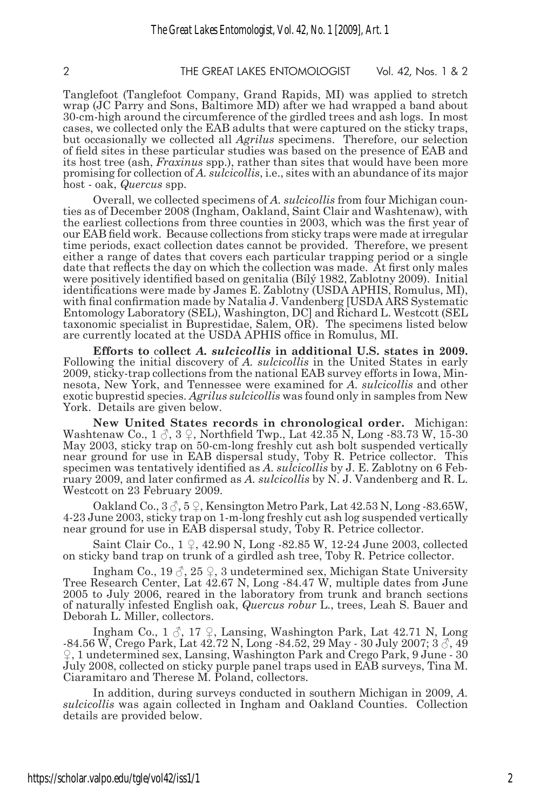2 THE GREAT LAKES ENTOMOLOGIST Vol. 42, Nos. 1 & 2

Tanglefoot (Tanglefoot Company, Grand Rapids, MI) was applied to stretch wrap (JC Parry and Sons, Baltimore MD) after we had wrapped a band about 30-cm-high around the circumference of the girdled trees and ash logs. In most cases, we collected only the EAB adults that were captured on the sticky traps, but occasionally we collected all *Agrilus* specimens. Therefore, our selection of field sites in these particular studies was based on the presence of EAB and its host tree (ash, *Fraxinus* spp.), rather than sites that would have been more promising for collection of *A. sulcicollis*, i.e., sites with an abundance of its major host - oak, *Quercus* spp.

Overall, we collected specimens of *A. sulcicollis* from four Michigan counties as of December 2008 (Ingham, Oakland, Saint Clair and Washtenaw), with the earliest collections from three counties in 2003, which was the first year of our EAB field work. Because collections from sticky traps were made at irregular time periods, exact collection dates cannot be provided. Therefore, we present either a range of dates that covers each particular trapping period or a single date that reflects the day on which the collection was made. At first only males were positively identified based on genitalia (Bílý 1982, Zablotny 2009). Initial identifications were made by James E. Zablotny (USDA APHIS, Romulus, MI), with final confirmation made by Natalia J. Vandenberg [USDA ARS Systematic Entomology Laboratory (SEL), Washington, DC] and Richard L. Westcott (SEL taxonomic specialist in Buprestidae, Salem, OR). The specimens listed below are currently located at the USDA APHIS office in Romulus, MI.

**Efforts to** c**ollect** *A. sulcicollis* **in additional U.S. states in 2009.**  Following the initial discovery of *A. sulcicollis* in the United States in early 2009, sticky-trap collections from the national EAB survey efforts in Iowa, Minnesota, New York, and Tennessee were examined for *A. sulcicollis* and other exotic buprestid species. *Agrilus sulcicollis* was found only in samples from New York. Details are given below.

**New United States records in chronological order.** Michigan: Washtenaw Co.,  $1 \text{ }\mathcal{S}, 3 \text{ }\mathcal{Q},$  Northfield Twp., Lat  $42.35$  N, Long  $-83.73$  W,  $15-30$ May 2003, sticky trap on 50-cm-long freshly cut ash bolt suspended vertically near ground for use in EAB dispersal study, Toby R. Petrice collector. This specimen was tentatively identified as *A. sulcicollis* by J. E. Zablotny on 6 February 2009, and later confirmed as *A. sulcicollis* by N. J. Vandenberg and R. L. Westcott on 23 February 2009.

Oakland Co.,  $3\zeta$ ,  $5\zeta$ , Kensington Metro Park, Lat  $42.53$  N, Long -83.65W, 4-23 June 2003, sticky trap on 1-m-long freshly cut ash log suspended vertically near ground for use in EAB dispersal study, Toby R. Petrice collector.

Saint Clair Co.,  $1 \nsubseteq$ ,  $42.90 \text{ N}$ , Long  $-82.85 \text{ W}$ ,  $12.24 \text{ June } 2003$ , collected on sticky band trap on trunk of a girdled ash tree, Toby R. Petrice collector.

Ingham Co., 19  $\circ$ , 25  $\circ$ , 3 undetermined sex, Michigan State University Tree Research Center, Lat 42.67 N, Long -84.47 W, multiple dates from June 2005 to July 2006, reared in the laboratory from trunk and branch sections of naturally infested English oak, *Quercus robur* L., trees, Leah S. Bauer and Deborah L. Miller, collectors.

Ingham Co.,  $1 \circled{3}$ ,  $17 \circled{2}$ , Lansing, Washington Park, Lat 42.71 N, Long -84.56 W, Crego Park, Lat  $42.72$  N, Long -84.52, 29 May - 30 July 2007; 3  $\circ$ , 49 ♀, 1 undetermined sex, Lansing, Washington Park and Crego Park, 9 June - 30 July 2008, collected on sticky purple panel traps used in EAB surveys, Tina M. Ciaramitaro and Therese M. Poland, collectors.

In addition, during surveys conducted in southern Michigan in 2009, *A. sulcicollis* was again collected in Ingham and Oakland Counties. Collection details are provided below.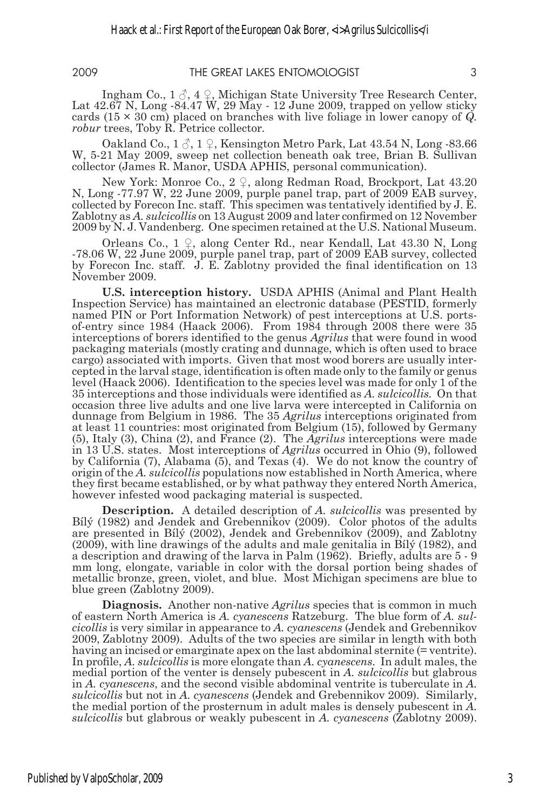Ingham Co.,  $1 \land 4 \lor$ , Michigan State University Tree Research Center, Lat  $42.67$  N, Long  $-84.47$  W,  $29$  May  $-12$  June 2009, trapped on yellow sticky cards (15 × 30 cm) placed on branches with live foliage in lower canopy of *Q. robur* trees, Toby R. Petrice collector*.*

Oakland Co.,  $1 \circled{3}$ ,  $1 \circled{2}$ , Kensington Metro Park, Lat 43.54 N, Long -83.66 W, 5-21 May 2009, sweep net collection beneath oak tree, Brian B. Sullivan collector (James R. Manor, USDA APHIS, personal communication).

New York: Monroe Co., 2 ♀, along Redman Road, Brockport, Lat 43.20 N, Long -77.97 W, 22 June 2009, purple panel trap, part of 2009 EAB survey, collected by Forecon Inc. staff. This specimen was tentatively identified by J. E. Zablotny as *A. sulcicollis* on 13 August 2009 and later confirmed on 12 November 2009 by N. J. Vandenberg. One specimen retained at the U.S. National Museum.

Orleans Co., 1 ♀, along Center Rd., near Kendall, Lat 43.30 N, Long -78.06 W, 22 June 2009, purple panel trap, part of 2009 EAB survey, collected by Forecon Inc. staff. J. E. Zablotny provided the final identification on 13 November 2009.

**U.S. interception history.** USDA APHIS (Animal and Plant Health Inspection Service) has maintained an electronic database (PESTID, formerly named PIN or Port Information Network) of pest interceptions at U.S. portsof-entry since 1984 (Haack 2006). From 1984 through 2008 there were 35 interceptions of borers identified to the genus *Agrilus* that were found in wood packaging materials (mostly crating and dunnage, which is often used to brace cargo) associated with imports. Given that most wood borers are usually intercepted in the larval stage, identification is often made only to the family or genus level (Haack 2006). Identification to the species level was made for only 1 of the 35 interceptions and those individuals were identified as *A. sulcicollis.* On that occasion three live adults and one live larva were intercepted in California on dunnage from Belgium in 1986. The 35 *Agrilus* interceptions originated from at least 11 countries: most originated from Belgium (15), followed by Germany (5), Italy (3), China (2), and France (2). The *Agrilus* interceptions were made in 13 U.S. states. Most interceptions of *Agrilus* occurred in Ohio (9), followed by California (7), Alabama (5), and Texas (4). We do not know the country of origin of the *A. sulcicollis* populations now established in North America, where they first became established, or by what pathway they entered North America, however infested wood packaging material is suspected.

**Description.** A detailed description of *A. sulcicollis* was presented by Bílý (1982) and Jendek and Grebennikov (2009). Color photos of the adults are presented in Bílý (2002), Jendek and Grebennikov (2009), and Zablotny (2009), with line drawings of the adults and male genitalia in Bílý (1982), and a description and drawing of the larva in Palm (1962). Briefly, adults are 5 - 9 mm long, elongate, variable in color with the dorsal portion being shades of metallic bronze, green, violet, and blue. Most Michigan specimens are blue to blue green (Zablotny 2009).

**Diagnosis.** Another non-native *Agrilus* species that is common in much of eastern North America is *A. cyanescens* Ratzeburg. The blue form of *A. sul- cicollis* is very similar in appearance to *A. cyanescens* (Jendek and Grebennikov 2009, Zablotny 2009). Adults of the two species are similar in length with both having an incised or emarginate apex on the last abdominal sternite (= ventrite). In profile, *A. sulcicollis* is more elongate than *A. cyanescens*. In adult males, the medial portion of the venter is densely pubescent in *A. sulcicollis* but glabrous in *A. cyanescens*, and the second visible abdominal ventrite is tuberculate in *A. sulcicollis* but not in *A. cyanescens* (Jendek and Grebennikov 2009). Similarly, the medial portion of the prosternum in adult males is densely pubescent in *A. sulcicollis* but glabrous or weakly pubescent in *A. cyanescens* (Zablotny 2009).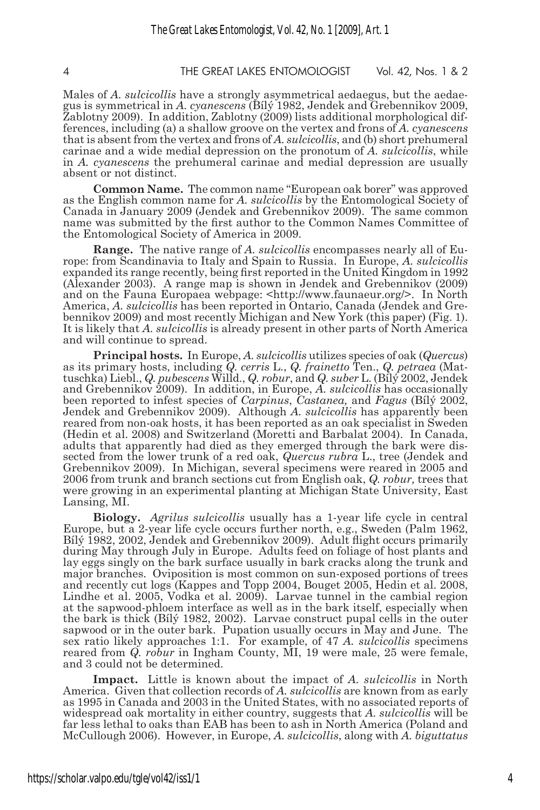#### 4 THE GREAT LAKES ENTOMOLOGIST Vol. 42, Nos. 1 & 2

Males of *A. sulcicollis* have a strongly asymmetrical aedaegus, but the aedaegus is symmetrical in *A. cyanescens* (Bílý 1982, Jendek and Grebennikov 2009, Zablotny 2009). In addition, Zablotny (2009) lists additional morphological differences, including (a) a shallow groove on the vertex and frons of *A. cyanescens*  that is absent from the vertex and frons of *A. sulcicollis*, and (b) short prehumeral carinae and a wide medial depression on the pronotum of *A. sulcicollis*, while in *A. cyanescens* the prehumeral carinae and medial depression are usually absent or not distinct.

**Common Name.** The common name "European oak borer" was approved as the English common name for *A. sulcicollis* by the Entomological Society of Canada in January 2009 (Jendek and Grebennikov 2009). The same common name was submitted by the first author to the Common Names Committee of the Entomological Society of America in 2009.

**Range.** The native range of *A. sulcicollis* encompasses nearly all of Europe: from Scandinavia to Italy and Spain to Russia. In Europe, *A. sulcicollis* expanded its range recently, being first reported in the United Kingdom in 1992 (Alexander 2003). A range map is shown in Jendek and Grebennikov (2009) and on the Fauna Europaea webpage: <http://www.faunaeur.org/>. In North America, *A. sulcicollis* has been reported in Ontario, Canada (Jendek and Grebennikov 2009) and most recently Michigan and New York (this paper) (Fig. 1). It is likely that *A. sulcicollis* is already present in other parts of North America and will continue to spread.

**Principal hosts.** In Europe, *A. sulcicollis* utilizes species of oak (*Quercus*) as its primary hosts, including *Q. cerris* L., *Q. frainetto* Ten., *Q. petraea* (Mattuschka) Liebl., *Q. pubescens* Willd., *Q. robur*, and *Q. suber* L. (Bílý 2002, Jendek and Grebennikov 2009). In addition, in Europe, *A. sulcicollis* has occasionally been reported to infest species of *Carpinus*, *Castanea,* and *Fagus* (Bílý 2002, Jendek and Grebennikov 2009). Although *A. sulcicollis* has apparently been reared from non-oak hosts, it has been reported as an oak specialist in Sweden (Hedin et al. 2008) and Switzerland (Moretti and Barbalat 2004). In Canada, adults that apparently had died as they emerged through the bark were dissected from the lower trunk of a red oak, *Quercus rubra* L., tree (Jendek and Grebennikov 2009). In Michigan, several specimens were reared in 2005 and 2006 from trunk and branch sections cut from English oak, *Q. robur,* trees that were growing in an experimental planting at Michigan State University, East Lansing, MI.

**Biology.** *Agrilus sulcicollis* usually has a 1-year life cycle in central Europe, but a 2-year life cycle occurs further north, e.g., Sweden (Palm 1962, Bílý 1982, 2002, Jendek and Grebennikov 2009). Adult flight occurs primarily during May through July in Europe. Adults feed on foliage of host plants and lay eggs singly on the bark surface usually in bark cracks along the trunk and major branches. Oviposition is most common on sun-exposed portions of trees and recently cut logs (Kappes and Topp 2004, Bouget 2005, Hedin et al. 2008, Lindhe et al. 2005, Vodka et al. 2009). Larvae tunnel in the cambial region at the sapwood-phloem interface as well as in the bark itself, especially when the bark is thick (Bílý 1982, 2002). Larvae construct pupal cells in the outer sapwood or in the outer bark. Pupation usually occurs in May and June. The sex ratio likely approaches 1:1. For example, of 47 *A. sulcicollis* specimens reared from *Q. robur* in Ingham County, MI, 19 were male, 25 were female, and 3 could not be determined.

**Impact.** Little is known about the impact of *A. sulcicollis* in North America. Given that collection records of *A. sulcicollis* are known from as early as 1995 in Canada and 2003 in the United States, with no associated reports of widespread oak mortality in either country, suggests that *A. sulcicollis* will be far less lethal to oaks than EAB has been to ash in North America (Poland and McCullough 2006). However, in Europe, *A. sulcicollis*, along with *A. biguttatus*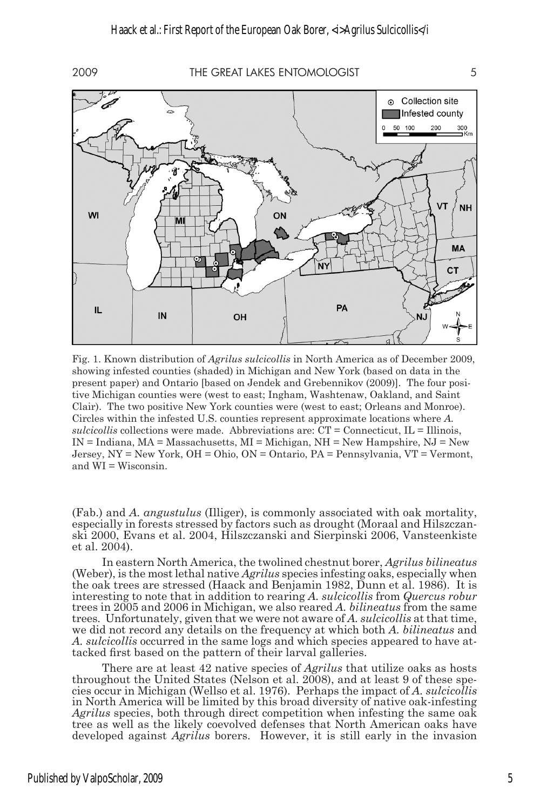2009 THE GREAT LAKES ENTOMOLOGIST 5



Fig. 1. Known distribution of *Agrilus sulcicollis* in North America as of December 2009, showing infested counties (shaded) in Michigan and New York (based on data in the present paper) and Ontario [based on Jendek and Grebennikov (2009)]. The four positive Michigan counties were (west to east; Ingham, Washtenaw, Oakland, and Saint Clair). The two positive New York counties were (west to east; Orleans and Monroe). Circles within the infested U.S. counties represent approximate locations where *A.*  $sulcioulli$  collections were made. Abbreviations are:  $CT =$  Connecticut,  $IL =$  Illinois,  $IN = Indiana$ ,  $MA = Massachusetts$ ,  $MI = Michigan$ ,  $NH = New Hampshire$ ,  $NJ = New$ Jersey, NY = New York, OH = Ohio, ON = Ontario, PA = Pennsylvania, VT = Vermont, and WI = Wisconsin.

(Fab.) and *A. angustulus* (Illiger), is commonly associated with oak mortality, especially in forests stressed by factors such as drought (Moraal and Hilszczanski 2000, Evans et al. 2004, Hilszczanski and Sierpinski 2006, Vansteenkiste et al. 2004).

In eastern North America, the twolined chestnut borer, *Agrilus bilineatus* (Weber), is the most lethal native *Agrilus* species infesting oaks, especially when the oak trees are stressed (Haack and Benjamin 1982, Dunn et al. 1986). It is interesting to note that in addition to rearing *A. sulcicollis* from *Quercus robur* trees in 2005 and 2006 in Michigan, we also reared *A. bilineatus* from the same trees*.* Unfortunately, given that we were not aware of *A. sulcicollis* at that time, we did not record any details on the frequency at which both *A. bilineatus* and *A. sulcicollis* occurred in the same logs and which species appeared to have attacked first based on the pattern of their larval galleries.

There are at least 42 native species of *Agrilus* that utilize oaks as hosts throughout the United States (Nelson et al.  $2008$ ), and at least 9 of these species occur in Michigan (Wellso et al. 1976). Perhaps the impact of *A. sulcicollis* in North America will be limited by this broad diversity of native oak-infesting *Agrilus* species, both through direct competition when infesting the same oak tree as well as the likely coevolved defenses that North American oaks have developed against *Agrilus* borers. However, it is still early in the invasion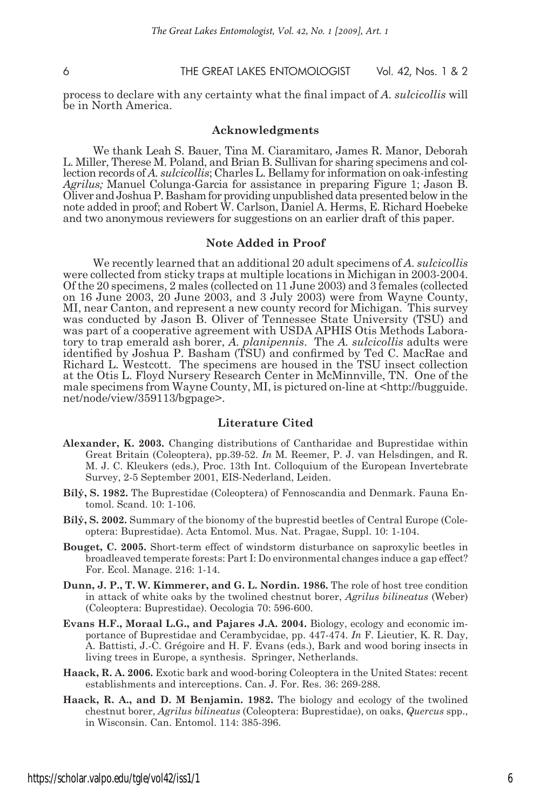process to declare with any certainty what the final impact of *A. sulcicollis* will be in North America.

#### **Acknowledgments**

We thank Leah S. Bauer, Tina M. Ciaramitaro, James R. Manor, Deborah L. Miller, Therese M. Poland, and Brian B. Sullivan for sharing specimens and collection records of *A. sulcicollis*; Charles L. Bellamy for information on oak-infesting *Agrilus;* Manuel Colunga-Garcia for assistance in preparing Figure 1; Jason B. Oliver and Joshua P. Basham for providing unpublished data presented below in the note added in proof; and Robert W. Carlson, Daniel A. Herms, E. Richard Hoebeke and two anonymous reviewers for suggestions on an earlier draft of this paper.

#### **Note Added in Proof**

We recently learned that an additional 20 adult specimens of *A. sulcicollis* were collected from sticky traps at multiple locations in Michigan in 2003-2004. Of the 20 specimens, 2 males (collected on 11 June 2003) and 3 females (collected on 16 June 2003, 20 June 2003, and 3 July 2003) were from Wayne County, MI, near Canton, and represent a new county record for Michigan. This survey was conducted by Jason B. Oliver of Tennessee State University (TSU) and was part of a cooperative agreement with USDA APHIS Otis Methods Laboratory to trap emerald ash borer, *A. planipennis*. The *A. sulcicollis* adults were identified by Joshua P. Basham (TSU) and confirmed by Ted C. MacRae and Richard L. Westcott. The specimens are housed in the TSU insect collection at the Otis L. Floyd Nursery Research Center in McMinnville, TN. One of the male specimens from Wayne County, MI, is pictured on-line at <http://bugguide. net/node/view/359113/bgpage>.

#### **Literature Cited**

- **Alexander, K. 2003.** Changing distributions of Cantharidae and Buprestidae within Great Britain (Coleoptera), pp.39-52. *In* M. Reemer, P. J. van Helsdingen, and R. M. J. C. Kleukers (eds.), Proc. 13th Int. Colloquium of the European Invertebrate Survey, 2-5 September 2001, EIS-Nederland, Leiden.
- **Bílý, S. 1982.** The Buprestidae (Coleoptera) of Fennoscandia and Denmark. Fauna Entomol. Scand. 10: 1-106.
- **Bílý, S. 2002.** Summary of the bionomy of the buprestid beetles of Central Europe (Coleoptera: Buprestidae). Acta Entomol. Mus. Nat. Pragae, Suppl. 10: 1-104.
- **Bouget, C. 2005.** Short-term effect of windstorm disturbance on saproxylic beetles in broadleaved temperate forests: Part I: Do environmental changes induce a gap effect? For. Ecol. Manage. 216: 1-14.
- **Dunn, J. P., T. W. Kimmerer, and G. L. Nordin. 1986.** The role of host tree condition in attack of white oaks by the twolined chestnut borer, *Agrilus bilineatus* (Weber) (Coleoptera: Buprestidae). Oecologia 70: 596-600.
- **Evans H.F., Moraal L.G., and Pajares J.A. 2004.** Biology, ecology and economic importance of Buprestidae and Cerambycidae, pp. 447-474. *In* F. Lieutier, K. R. Day, A. Battisti, J.-C. Grégoire and H. F. Evans (eds.), Bark and wood boring insects in living trees in Europe, a synthesis. Springer, Netherlands.
- **Haack, R. A. 2006.** Exotic bark and wood-boring Coleoptera in the United States: recent establishments and interceptions. Can. J. For. Res. 36: 269-288.
- **Haack, R. A., and D. M Benjamin. 1982.** The biology and ecology of the twolined chestnut borer, *Agrilus bilineatus* (Coleoptera: Buprestidae), on oaks, *Quercus* spp., in Wisconsin. Can. Entomol. 114: 385-396.